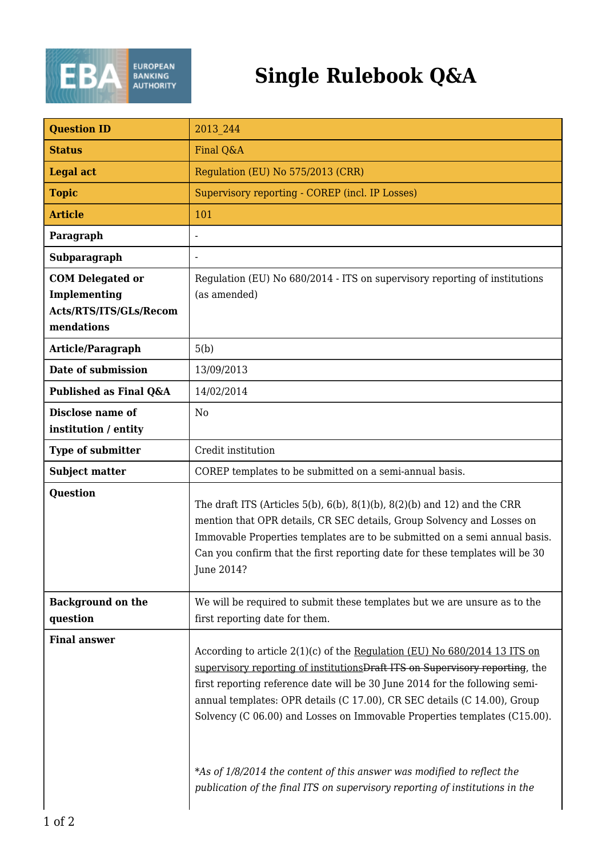

## **Single Rulebook Q&A**

| <b>Question ID</b>                                                              | 2013 244                                                                                                                                                                                                                                                                                                                                                                                                                                                                                                                                                         |
|---------------------------------------------------------------------------------|------------------------------------------------------------------------------------------------------------------------------------------------------------------------------------------------------------------------------------------------------------------------------------------------------------------------------------------------------------------------------------------------------------------------------------------------------------------------------------------------------------------------------------------------------------------|
| <b>Status</b>                                                                   | Final Q&A                                                                                                                                                                                                                                                                                                                                                                                                                                                                                                                                                        |
| <b>Legal act</b>                                                                | Regulation (EU) No 575/2013 (CRR)                                                                                                                                                                                                                                                                                                                                                                                                                                                                                                                                |
| <b>Topic</b>                                                                    | Supervisory reporting - COREP (incl. IP Losses)                                                                                                                                                                                                                                                                                                                                                                                                                                                                                                                  |
| <b>Article</b>                                                                  | 101                                                                                                                                                                                                                                                                                                                                                                                                                                                                                                                                                              |
| Paragraph                                                                       |                                                                                                                                                                                                                                                                                                                                                                                                                                                                                                                                                                  |
| Subparagraph                                                                    |                                                                                                                                                                                                                                                                                                                                                                                                                                                                                                                                                                  |
| <b>COM Delegated or</b><br>Implementing<br>Acts/RTS/ITS/GLs/Recom<br>mendations | Regulation (EU) No 680/2014 - ITS on supervisory reporting of institutions<br>(as amended)                                                                                                                                                                                                                                                                                                                                                                                                                                                                       |
| Article/Paragraph                                                               | 5(b)                                                                                                                                                                                                                                                                                                                                                                                                                                                                                                                                                             |
| Date of submission                                                              | 13/09/2013                                                                                                                                                                                                                                                                                                                                                                                                                                                                                                                                                       |
| Published as Final Q&A                                                          | 14/02/2014                                                                                                                                                                                                                                                                                                                                                                                                                                                                                                                                                       |
| Disclose name of<br>institution / entity                                        | N <sub>0</sub>                                                                                                                                                                                                                                                                                                                                                                                                                                                                                                                                                   |
| <b>Type of submitter</b>                                                        | Credit institution                                                                                                                                                                                                                                                                                                                                                                                                                                                                                                                                               |
| <b>Subject matter</b>                                                           | COREP templates to be submitted on a semi-annual basis.                                                                                                                                                                                                                                                                                                                                                                                                                                                                                                          |
| <b>Question</b>                                                                 | The draft ITS (Articles 5(b), 6(b), 8(1)(b), 8(2)(b) and 12) and the CRR<br>mention that OPR details, CR SEC details, Group Solvency and Losses on<br>Immovable Properties templates are to be submitted on a semi annual basis.<br>Can you confirm that the first reporting date for these templates will be 30<br><b>Iune 2014?</b>                                                                                                                                                                                                                            |
| <b>Background on the</b><br>question                                            | We will be required to submit these templates but we are unsure as to the<br>first reporting date for them.                                                                                                                                                                                                                                                                                                                                                                                                                                                      |
| <b>Final answer</b>                                                             | According to article $2(1)(c)$ of the Regulation (EU) No $680/2014$ 13 ITS on<br>supervisory reporting of institutions Draft ITS on Supervisory reporting, the<br>first reporting reference date will be 30 June 2014 for the following semi-<br>annual templates: OPR details (C 17.00), CR SEC details (C 14.00), Group<br>Solvency (C 06.00) and Losses on Immovable Properties templates (C15.00).<br>*As of 1/8/2014 the content of this answer was modified to reflect the<br>publication of the final ITS on supervisory reporting of institutions in the |